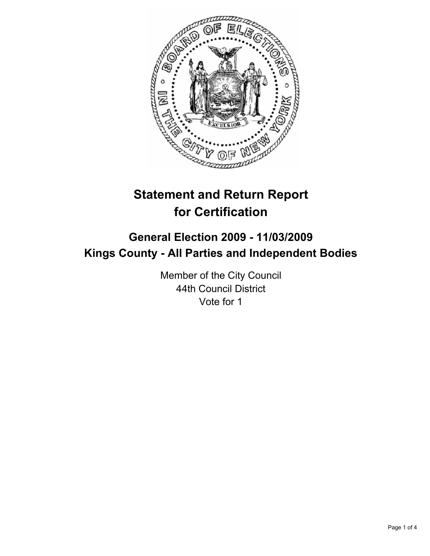

# **Statement and Return Report for Certification**

## **General Election 2009 - 11/03/2009 Kings County - All Parties and Independent Bodies**

Member of the City Council 44th Council District Vote for 1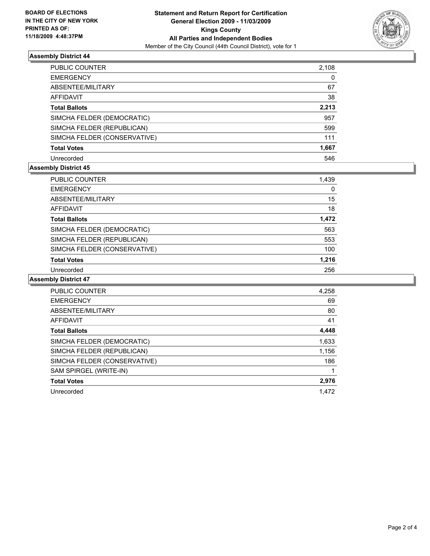

## **Assembly District 44**

| PUBLIC COUNTER               | 2,108 |
|------------------------------|-------|
| <b>EMERGENCY</b>             | 0     |
| ABSENTEE/MILITARY            | 67    |
| <b>AFFIDAVIT</b>             | 38    |
| <b>Total Ballots</b>         | 2,213 |
| SIMCHA FELDER (DEMOCRATIC)   | 957   |
| SIMCHA FELDER (REPUBLICAN)   | 599   |
| SIMCHA FELDER (CONSERVATIVE) | 111   |
| <b>Total Votes</b>           | 1,667 |
| Unrecorded                   | 546   |

## **Assembly District 45**

| PUBLIC COUNTER               | 1,439 |
|------------------------------|-------|
| <b>EMERGENCY</b>             | 0     |
| ABSENTEE/MILITARY            | 15    |
| <b>AFFIDAVIT</b>             | 18    |
| <b>Total Ballots</b>         | 1,472 |
| SIMCHA FELDER (DEMOCRATIC)   | 563   |
| SIMCHA FELDER (REPUBLICAN)   | 553   |
| SIMCHA FELDER (CONSERVATIVE) | 100   |
| <b>Total Votes</b>           | 1,216 |
| Unrecorded                   | 256   |

#### **Assembly District 47**

| PUBLIC COUNTER               | 4,258 |
|------------------------------|-------|
| <b>EMERGENCY</b>             | 69    |
| ABSENTEE/MILITARY            | 80    |
| AFFIDAVIT                    | 41    |
| <b>Total Ballots</b>         | 4,448 |
| SIMCHA FELDER (DEMOCRATIC)   | 1,633 |
| SIMCHA FELDER (REPUBLICAN)   | 1,156 |
| SIMCHA FELDER (CONSERVATIVE) | 186   |
| SAM SPIRGEL (WRITE-IN)       |       |
| <b>Total Votes</b>           | 2,976 |
| Unrecorded                   | 1.472 |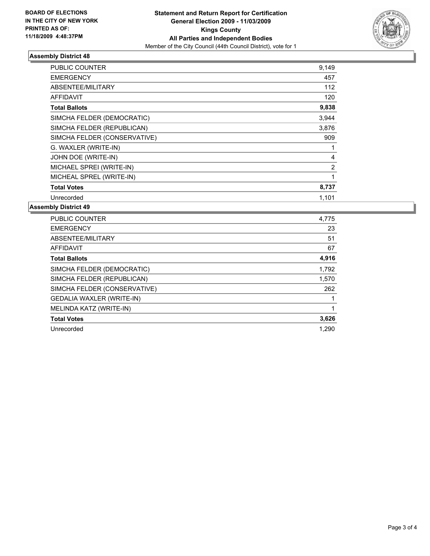

## **Assembly District 48**

| PUBLIC COUNTER               | 9,149        |
|------------------------------|--------------|
| <b>EMERGENCY</b>             | 457          |
| ABSENTEE/MILITARY            | 112          |
| <b>AFFIDAVIT</b>             | 120          |
| <b>Total Ballots</b>         | 9,838        |
| SIMCHA FELDER (DEMOCRATIC)   | 3,944        |
| SIMCHA FELDER (REPUBLICAN)   | 3,876        |
| SIMCHA FELDER (CONSERVATIVE) | 909          |
| G. WAXLER (WRITE-IN)         | 1            |
| JOHN DOE (WRITE-IN)          | 4            |
| MICHAEL SPREI (WRITE-IN)     | 2            |
| MICHEAL SPREL (WRITE-IN)     | $\mathbf{1}$ |
| <b>Total Votes</b>           | 8,737        |
| Unrecorded                   | 1.101        |

**Assembly District 49**

| PUBLIC COUNTER                   | 4,775 |
|----------------------------------|-------|
| <b>EMERGENCY</b>                 | 23    |
| ABSENTEE/MILITARY                | 51    |
| AFFIDAVIT                        | 67    |
| <b>Total Ballots</b>             | 4,916 |
| SIMCHA FELDER (DEMOCRATIC)       | 1,792 |
| SIMCHA FELDER (REPUBLICAN)       | 1,570 |
| SIMCHA FELDER (CONSERVATIVE)     | 262   |
| <b>GEDALIA WAXLER (WRITE-IN)</b> |       |
| MELINDA KATZ (WRITE-IN)          |       |
| <b>Total Votes</b>               | 3,626 |
| Unrecorded                       | 1,290 |